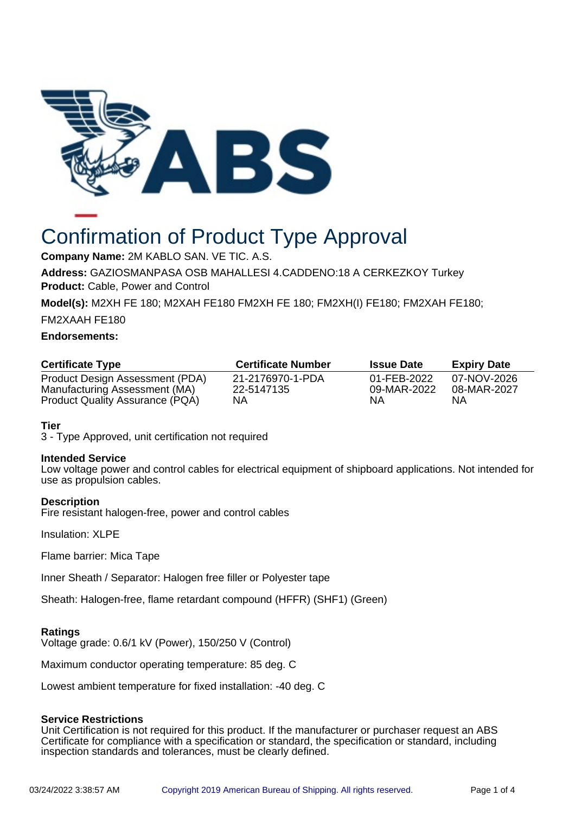

# Confirmation of Product Type Approval

**Company Name:** 2M KABLO SAN. VE TIC. A.S.

**Address:** GAZIOSMANPASA OSB MAHALLESI 4.CADDENO:18 A CERKEZKOY Turkey **Product:** Cable, Power and Control

**Model(s):** M2XH FE 180; M2XAH FE180 FM2XH FE 180; FM2XH(I) FE180; FM2XAH FE180;

FM2XAAH FE180

## **Endorsements:**

| <b>Certificate Type</b>                                          | <b>Certificate Number</b>      | <b>Issue Date</b>          | <b>Expiry Date</b>         |
|------------------------------------------------------------------|--------------------------------|----------------------------|----------------------------|
| Product Design Assessment (PDA)<br>Manufacturing Assessment (MA) | 21-2176970-1-PDA<br>22-5147135 | 01-FEB-2022<br>09-MAR-2022 | 07-NOV-2026<br>08-MAR-2027 |
| <b>Product Quality Assurance (PQA)</b>                           | NΑ                             | NА                         | ΝA                         |

## **Tier**

3 - Type Approved, unit certification not required

#### **Intended Service**

Low voltage power and control cables for electrical equipment of shipboard applications. Not intended for use as propulsion cables.

#### **Description**

Fire resistant halogen-free, power and control cables

Insulation: XLPE

Flame barrier: Mica Tape

Inner Sheath / Separator: Halogen free filler or Polyester tape

Sheath: Halogen-free, flame retardant compound (HFFR) (SHF1) (Green)

#### **Ratings**

Voltage grade: 0.6/1 kV (Power), 150/250 V (Control)

Maximum conductor operating temperature: 85 deg. C

Lowest ambient temperature for fixed installation: -40 deg. C

#### **Service Restrictions**

Unit Certification is not required for this product. If the manufacturer or purchaser request an ABS Certificate for compliance with a specification or standard, the specification or standard, including inspection standards and tolerances, must be clearly defined.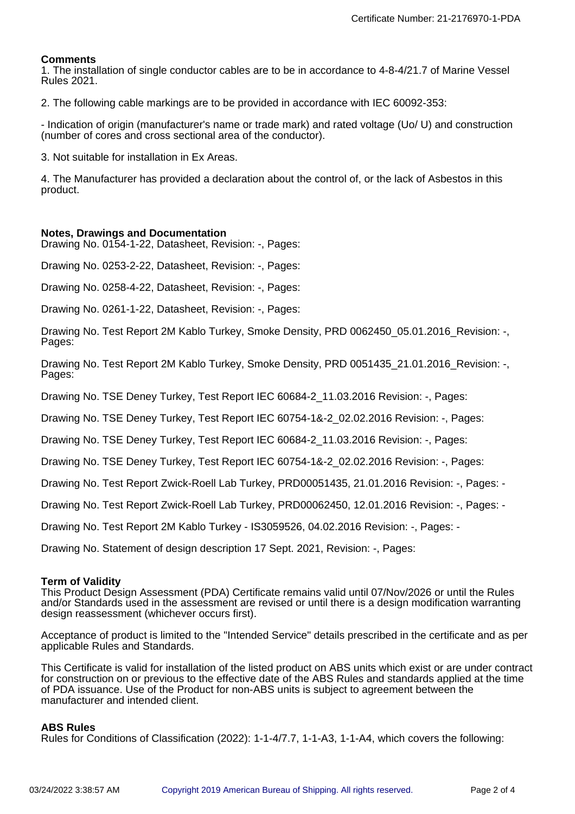#### **Comments**

1. The installation of single conductor cables are to be in accordance to 4-8-4/21.7 of Marine Vessel Rules 2021.

2. The following cable markings are to be provided in accordance with IEC 60092-353:

- Indication of origin (manufacturer's name or trade mark) and rated voltage (Uo/ U) and construction (number of cores and cross sectional area of the conductor).

3. Not suitable for installation in Ex Areas.

4. The Manufacturer has provided a declaration about the control of, or the lack of Asbestos in this product.

#### **Notes, Drawings and Documentation**

Drawing No. 0154-1-22, Datasheet, Revision: -, Pages:

Drawing No. 0253-2-22, Datasheet, Revision: -, Pages:

Drawing No. 0258-4-22, Datasheet, Revision: -, Pages:

Drawing No. 0261-1-22, Datasheet, Revision: -, Pages:

Drawing No. Test Report 2M Kablo Turkey, Smoke Density, PRD 0062450\_05.01.2016\_Revision: -, Pages:

Drawing No. Test Report 2M Kablo Turkey, Smoke Density, PRD 0051435\_21.01.2016\_Revision: -, Pages:

Drawing No. TSE Deney Turkey, Test Report IEC 60684-2\_11.03.2016 Revision: -, Pages:

Drawing No. TSE Deney Turkey, Test Report IEC 60754-1&-2\_02.02.2016 Revision: -, Pages:

Drawing No. TSE Deney Turkey, Test Report IEC 60684-2\_11.03.2016 Revision: -, Pages:

Drawing No. TSE Deney Turkey, Test Report IEC 60754-1&-2\_02.02.2016 Revision: -, Pages:

Drawing No. Test Report Zwick-Roell Lab Turkey, PRD00051435, 21.01.2016 Revision: -, Pages: -

Drawing No. Test Report Zwick-Roell Lab Turkey, PRD00062450, 12.01.2016 Revision: -, Pages: -

Drawing No. Test Report 2M Kablo Turkey - IS3059526, 04.02.2016 Revision: -, Pages: -

Drawing No. Statement of design description 17 Sept. 2021, Revision: -, Pages:

#### **Term of Validity**

This Product Design Assessment (PDA) Certificate remains valid until 07/Nov/2026 or until the Rules and/or Standards used in the assessment are revised or until there is a design modification warranting design reassessment (whichever occurs first).

Acceptance of product is limited to the "Intended Service" details prescribed in the certificate and as per applicable Rules and Standards.

This Certificate is valid for installation of the listed product on ABS units which exist or are under contract for construction on or previous to the effective date of the ABS Rules and standards applied at the time of PDA issuance. Use of the Product for non-ABS units is subject to agreement between the manufacturer and intended client.

#### **ABS Rules**

Rules for Conditions of Classification (2022): 1-1-4/7.7, 1-1-A3, 1-1-A4, which covers the following: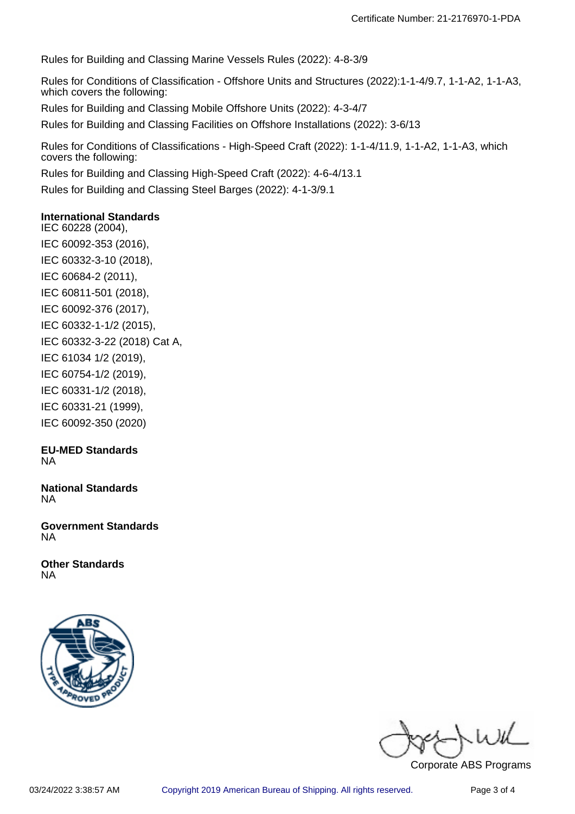Rules for Building and Classing Marine Vessels Rules (2022): 4-8-3/9

Rules for Conditions of Classification - Offshore Units and Structures (2022):1-1-4/9.7, 1-1-A2, 1-1-A3, which covers the following:

Rules for Building and Classing Mobile Offshore Units (2022): 4-3-4/7

Rules for Building and Classing Facilities on Offshore Installations (2022): 3-6/13

Rules for Conditions of Classifications - High-Speed Craft (2022): 1-1-4/11.9, 1-1-A2, 1-1-A3, which covers the following:

Rules for Building and Classing High-Speed Craft (2022): 4-6-4/13.1

Rules for Building and Classing Steel Barges (2022): 4-1-3/9.1

## **International Standards**

IEC 60228 (2004), IEC 60092-353 (2016), IEC 60332-3-10 (2018), IEC 60684-2 (2011), IEC 60811-501 (2018), IEC 60092-376 (2017), IEC 60332-1-1/2 (2015), IEC 60332-3-22 (2018) Cat A, IEC 61034 1/2 (2019), IEC 60754-1/2 (2019), IEC 60331-1/2 (2018), IEC 60331-21 (1999), IEC 60092-350 (2020)

#### **EU-MED Standards** NA

**National Standards** NA

**Government Standards** NA

**Other Standards** NA



 $u$  if

Corporate ABS Programs